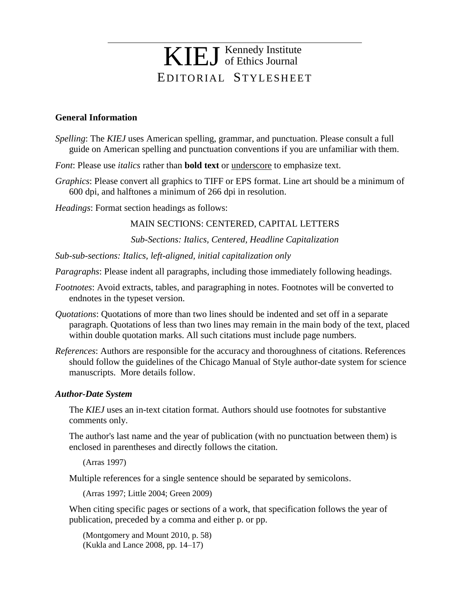# EDITORIAL STYLESHEET KIEJ Kennedy Institute of Ethics Journal

## **General Information**

- *Spelling*: The *KIEJ* uses American spelling, grammar, and punctuation. Please consult a full guide on American spelling and punctuation conventions if you are unfamiliar with them.
- *Font*: Please use *italics* rather than **bold text** or underscore to emphasize text.
- *Graphics*: Please convert all graphics to TIFF or EPS format. Line art should be a minimum of 600 dpi, and halftones a minimum of 266 dpi in resolution.

*Headings*: Format section headings as follows:

## MAIN SECTIONS: CENTERED, CAPITAL LETTERS

*Sub-Sections: Italics, Centered, Headline Capitalization*

*Sub-sub-sections: Italics, left-aligned, initial capitalization only*

*Paragraphs*: Please indent all paragraphs, including those immediately following headings.

- *Footnotes*: Avoid extracts, tables, and paragraphing in notes. Footnotes will be converted to endnotes in the typeset version.
- *Quotations*: Quotations of more than two lines should be indented and set off in a separate paragraph. Quotations of less than two lines may remain in the main body of the text, placed within double quotation marks. All such citations must include page numbers.
- *References*: Authors are responsible for the accuracy and thoroughness of citations. References should follow the guidelines of the Chicago Manual of Style author-date system for science manuscripts. More details follow.

#### *Author-Date System*

The *KIEJ* uses an in-text citation format. Authors should use footnotes for substantive comments only.

The author's last name and the year of publication (with no punctuation between them) is enclosed in parentheses and directly follows the citation.

(Arras 1997)

Multiple references for a single sentence should be separated by semicolons.

(Arras 1997; Little 2004; Green 2009)

When citing specific pages or sections of a work, that specification follows the year of publication, preceded by a comma and either p. or pp.

(Montgomery and Mount 2010, p. 58) (Kukla and Lance 2008, pp. 14–17)